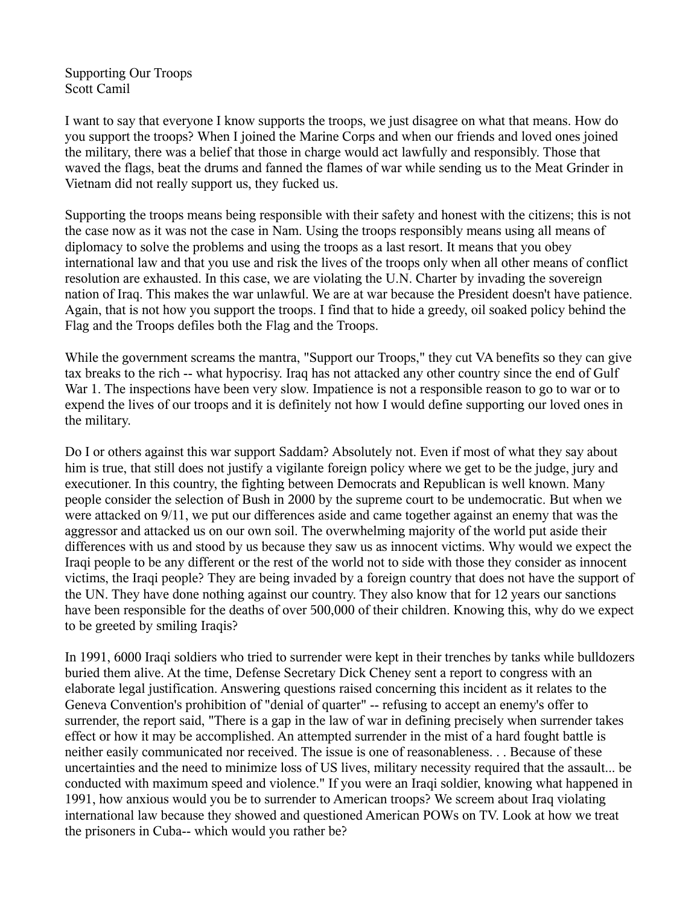Supporting Our Troops Scott Camil

I want to say that everyone I know supports the troops, we just disagree on what that means. How do you support the troops? When I joined the Marine Corps and when our friends and loved ones joined the military, there was a belief that those in charge would act lawfully and responsibly. Those that waved the flags, beat the drums and fanned the flames of war while sending us to the Meat Grinder in Vietnam did not really support us, they fucked us.

Supporting the troops means being responsible with their safety and honest with the citizens; this is not the case now as it was not the case in Nam. Using the troops responsibly means using all means of diplomacy to solve the problems and using the troops as a last resort. It means that you obey international law and that you use and risk the lives of the troops only when all other means of conflict resolution are exhausted. In this case, we are violating the U.N. Charter by invading the sovereign nation of Iraq. This makes the war unlawful. We are at war because the President doesn't have patience. Again, that is not how you support the troops. I find that to hide a greedy, oil soaked policy behind the Flag and the Troops defiles both the Flag and the Troops.

While the government screams the mantra, "Support our Troops," they cut VA benefits so they can give tax breaks to the rich -- what hypocrisy. Iraq has not attacked any other country since the end of Gulf War 1. The inspections have been very slow. Impatience is not a responsible reason to go to war or to expend the lives of our troops and it is definitely not how I would define supporting our loved ones in the military.

Do I or others against this war support Saddam? Absolutely not. Even if most of what they say about him is true, that still does not justify a vigilante foreign policy where we get to be the judge, jury and executioner. In this country, the fighting between Democrats and Republican is well known. Many people consider the selection of Bush in 2000 by the supreme court to be undemocratic. But when we were attacked on 9/11, we put our differences aside and came together against an enemy that was the aggressor and attacked us on our own soil. The overwhelming majority of the world put aside their differences with us and stood by us because they saw us as innocent victims. Why would we expect the Iraqi people to be any different or the rest of the world not to side with those they consider as innocent victims, the Iraqi people? They are being invaded by a foreign country that does not have the support of the UN. They have done nothing against our country. They also know that for 12 years our sanctions have been responsible for the deaths of over 500,000 of their children. Knowing this, why do we expect to be greeted by smiling Iraqis?

In 1991, 6000 Iraqi soldiers who tried to surrender were kept in their trenches by tanks while bulldozers buried them alive. At the time, Defense Secretary Dick Cheney sent a report to congress with an elaborate legal justification. Answering questions raised concerning this incident as it relates to the Geneva Convention's prohibition of "denial of quarter" -- refusing to accept an enemy's offer to surrender, the report said, "There is a gap in the law of war in defining precisely when surrender takes effect or how it may be accomplished. An attempted surrender in the mist of a hard fought battle is neither easily communicated nor received. The issue is one of reasonableness. . . Because of these uncertainties and the need to minimize loss of US lives, military necessity required that the assault... be conducted with maximum speed and violence." If you were an Iraqi soldier, knowing what happened in 1991, how anxious would you be to surrender to American troops? We screem about Iraq violating international law because they showed and questioned American POWs on TV. Look at how we treat the prisoners in Cuba-- which would you rather be?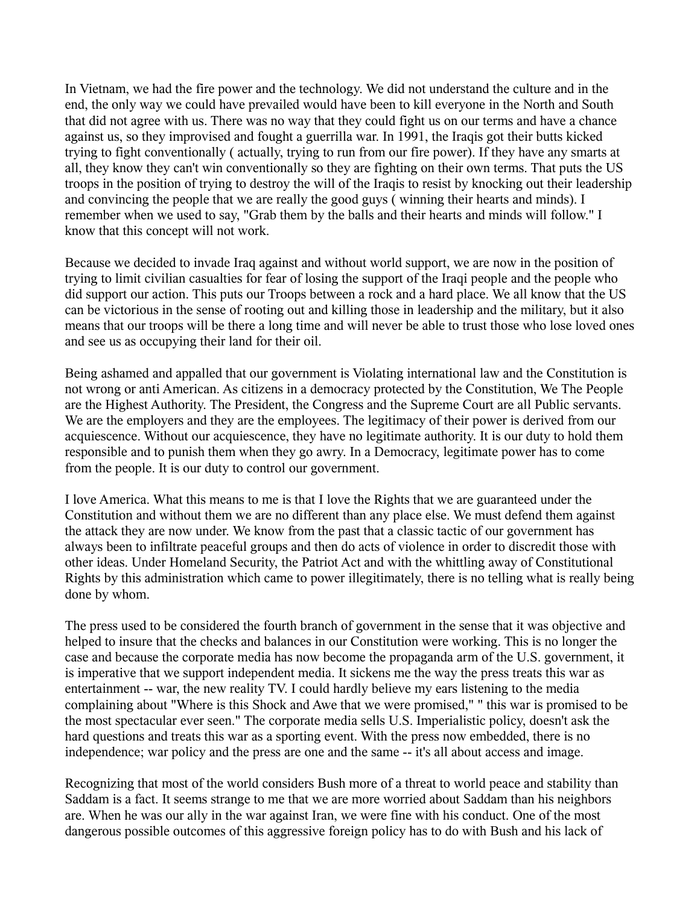In Vietnam, we had the fire power and the technology. We did not understand the culture and in the end, the only way we could have prevailed would have been to kill everyone in the North and South that did not agree with us. There was no way that they could fight us on our terms and have a chance against us, so they improvised and fought a guerrilla war. In 1991, the Iraqis got their butts kicked trying to fight conventionally ( actually, trying to run from our fire power). If they have any smarts at all, they know they can't win conventionally so they are fighting on their own terms. That puts the US troops in the position of trying to destroy the will of the Iraqis to resist by knocking out their leadership and convincing the people that we are really the good guys ( winning their hearts and minds). I remember when we used to say, "Grab them by the balls and their hearts and minds will follow." I know that this concept will not work.

Because we decided to invade Iraq against and without world support, we are now in the position of trying to limit civilian casualties for fear of losing the support of the Iraqi people and the people who did support our action. This puts our Troops between a rock and a hard place. We all know that the US can be victorious in the sense of rooting out and killing those in leadership and the military, but it also means that our troops will be there a long time and will never be able to trust those who lose loved ones and see us as occupying their land for their oil.

Being ashamed and appalled that our government is Violating international law and the Constitution is not wrong or anti American. As citizens in a democracy protected by the Constitution, We The People are the Highest Authority. The President, the Congress and the Supreme Court are all Public servants. We are the employers and they are the employees. The legitimacy of their power is derived from our acquiescence. Without our acquiescence, they have no legitimate authority. It is our duty to hold them responsible and to punish them when they go awry. In a Democracy, legitimate power has to come from the people. It is our duty to control our government.

I love America. What this means to me is that I love the Rights that we are guaranteed under the Constitution and without them we are no different than any place else. We must defend them against the attack they are now under. We know from the past that a classic tactic of our government has always been to infiltrate peaceful groups and then do acts of violence in order to discredit those with other ideas. Under Homeland Security, the Patriot Act and with the whittling away of Constitutional Rights by this administration which came to power illegitimately, there is no telling what is really being done by whom.

The press used to be considered the fourth branch of government in the sense that it was objective and helped to insure that the checks and balances in our Constitution were working. This is no longer the case and because the corporate media has now become the propaganda arm of the U.S. government, it is imperative that we support independent media. It sickens me the way the press treats this war as entertainment -- war, the new reality TV. I could hardly believe my ears listening to the media complaining about "Where is this Shock and Awe that we were promised," " this war is promised to be the most spectacular ever seen." The corporate media sells U.S. Imperialistic policy, doesn't ask the hard questions and treats this war as a sporting event. With the press now embedded, there is no independence; war policy and the press are one and the same -- it's all about access and image.

Recognizing that most of the world considers Bush more of a threat to world peace and stability than Saddam is a fact. It seems strange to me that we are more worried about Saddam than his neighbors are. When he was our ally in the war against Iran, we were fine with his conduct. One of the most dangerous possible outcomes of this aggressive foreign policy has to do with Bush and his lack of